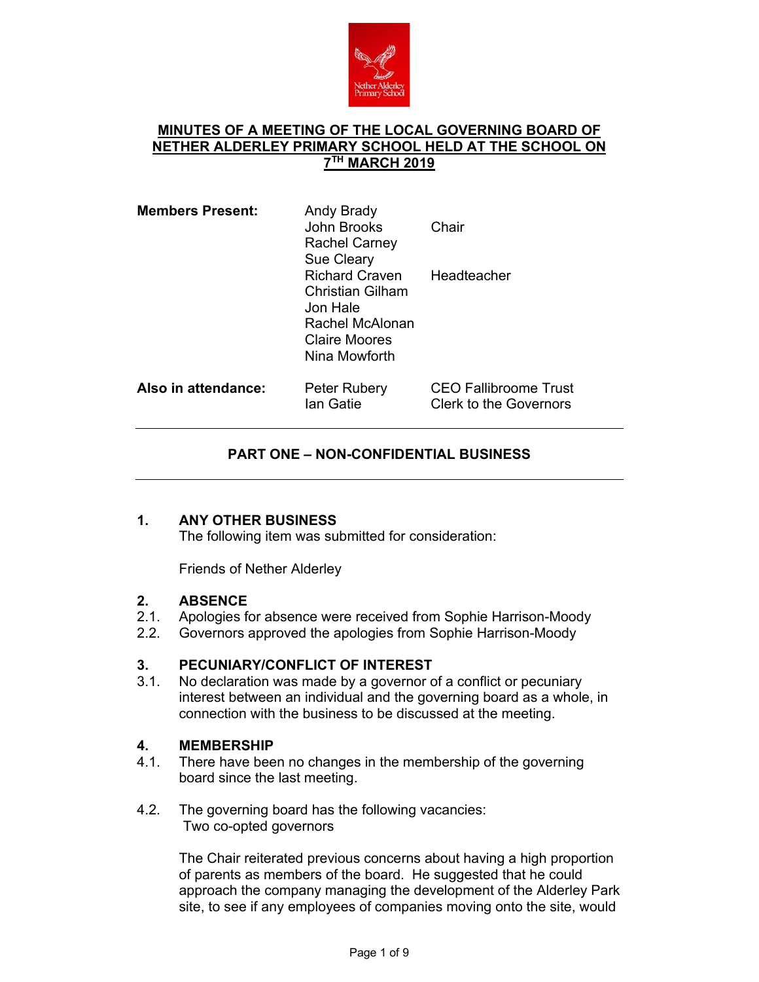

# **MINUTES OF A MEETING OF THE LOCAL GOVERNING BOARD OF NETHER ALDERLEY PRIMARY SCHOOL HELD AT THE SCHOOL ON 7TH MARCH 2019**

| <b>Members Present:</b> | Andy Brady<br>John Brooks<br><b>Rachel Carney</b><br><b>Sue Cleary</b>                                     | Chair                                                         |
|-------------------------|------------------------------------------------------------------------------------------------------------|---------------------------------------------------------------|
|                         | <b>Richard Craven</b><br>Christian Gilham<br>Jon Hale<br>Rachel McAlonan<br>Claire Moores<br>Nina Mowforth | Headteacher                                                   |
| Also in attendance:     | Peter Rubery<br>Ian Gatie                                                                                  | <b>CEO Fallibroome Trust</b><br><b>Clerk to the Governors</b> |

# **PART ONE – NON-CONFIDENTIAL BUSINESS**

# **1. ANY OTHER BUSINESS**

The following item was submitted for consideration:

Friends of Nether Alderley

# **2. ABSENCE**

- 2.1. Apologies for absence were received from Sophie Harrison-Moody
- 2.2. Governors approved the apologies from Sophie Harrison-Moody

# **3. PECUNIARY/CONFLICT OF INTEREST**

3.1. No declaration was made by a governor of a conflict or pecuniary interest between an individual and the governing board as a whole, in connection with the business to be discussed at the meeting.

#### **4. MEMBERSHIP**

- 4.1. There have been no changes in the membership of the governing board since the last meeting.
- 4.2. The governing board has the following vacancies: Two co-opted governors

The Chair reiterated previous concerns about having a high proportion of parents as members of the board. He suggested that he could approach the company managing the development of the Alderley Park site, to see if any employees of companies moving onto the site, would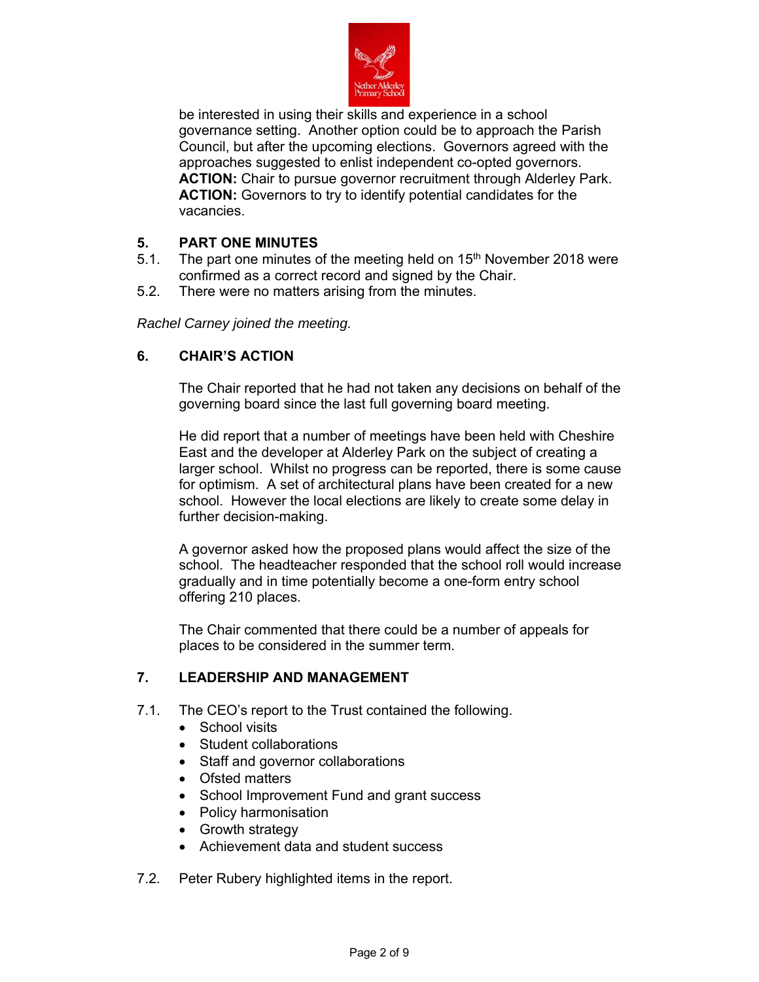

be interested in using their skills and experience in a school governance setting. Another option could be to approach the Parish Council, but after the upcoming elections. Governors agreed with the approaches suggested to enlist independent co-opted governors. **ACTION:** Chair to pursue governor recruitment through Alderley Park. **ACTION:** Governors to try to identify potential candidates for the vacancies.

# **5. PART ONE MINUTES**

- 5.1. The part one minutes of the meeting held on  $15<sup>th</sup>$  November 2018 were confirmed as a correct record and signed by the Chair.
- 5.2. There were no matters arising from the minutes.

*Rachel Carney joined the meeting.*

# **6. CHAIR'S ACTION**

The Chair reported that he had not taken any decisions on behalf of the governing board since the last full governing board meeting.

He did report that a number of meetings have been held with Cheshire East and the developer at Alderley Park on the subject of creating a larger school. Whilst no progress can be reported, there is some cause for optimism. A set of architectural plans have been created for a new school. However the local elections are likely to create some delay in further decision-making.

A governor asked how the proposed plans would affect the size of the school. The headteacher responded that the school roll would increase gradually and in time potentially become a one-form entry school offering 210 places.

The Chair commented that there could be a number of appeals for places to be considered in the summer term.

# **7. LEADERSHIP AND MANAGEMENT**

- 7.1. The CEO's report to the Trust contained the following.
	- School visits
	- Student collaborations
	- Staff and governor collaborations
	- Ofsted matters
	- School Improvement Fund and grant success
	- Policy harmonisation
	- Growth strategy
	- Achievement data and student success
- 7.2. Peter Rubery highlighted items in the report.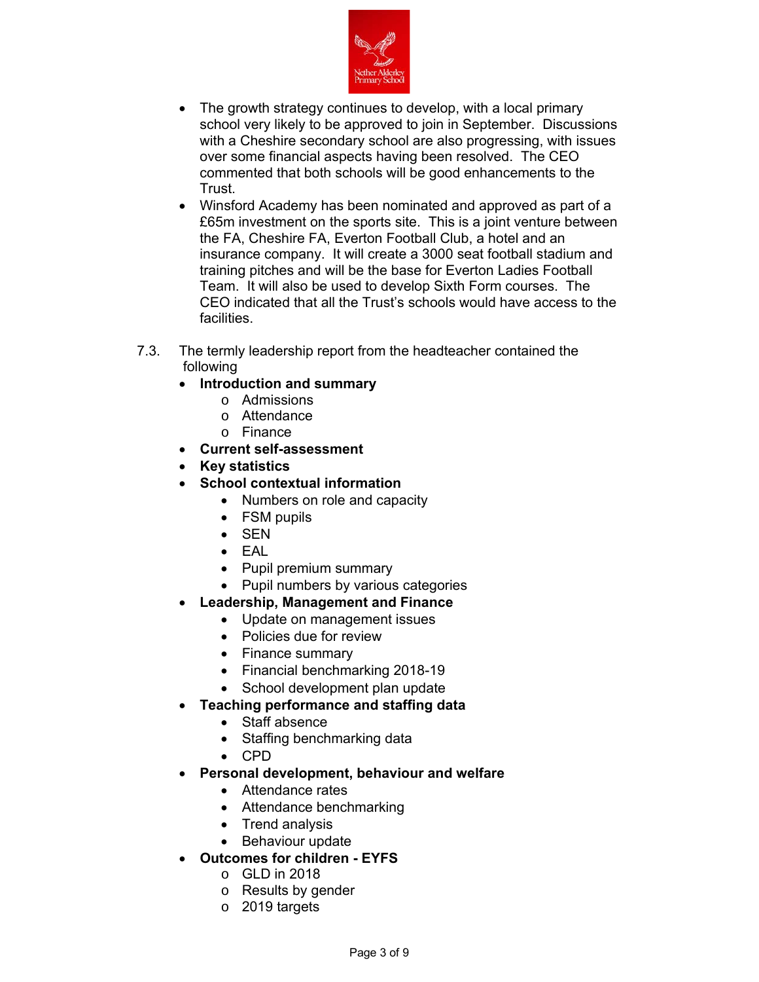

- The growth strategy continues to develop, with a local primary school very likely to be approved to join in September. Discussions with a Cheshire secondary school are also progressing, with issues over some financial aspects having been resolved. The CEO commented that both schools will be good enhancements to the Trust.
- Winsford Academy has been nominated and approved as part of a £65m investment on the sports site. This is a joint venture between the FA, Cheshire FA, Everton Football Club, a hotel and an insurance company. It will create a 3000 seat football stadium and training pitches and will be the base for Everton Ladies Football Team. It will also be used to develop Sixth Form courses. The CEO indicated that all the Trust's schools would have access to the facilities.
- 7.3. The termly leadership report from the headteacher contained the following
	- **Introduction and summary** 
		- o Admissions
		- o Attendance
		- o Finance
	- **Current self-assessment**
	- **Key statistics**
	- **School contextual information** 
		- Numbers on role and capacity
		- FSM pupils
		- SEN
		- EAL
		- Pupil premium summary
		- Pupil numbers by various categories
	- **Leadership, Management and Finance**
		- Update on management issues
		- Policies due for review
		- Finance summary
		- Financial benchmarking 2018-19
		- School development plan update
	- **Teaching performance and staffing data**
		- Staff absence
		- Staffing benchmarking data
		- CPD
	- **Personal development, behaviour and welfare**
		- Attendance rates
		- Attendance benchmarking
		- Trend analysis
		- Behaviour update
		- **Outcomes for children EYFS** 
			- o GLD in 2018
			- o Results by gender
			- o 2019 targets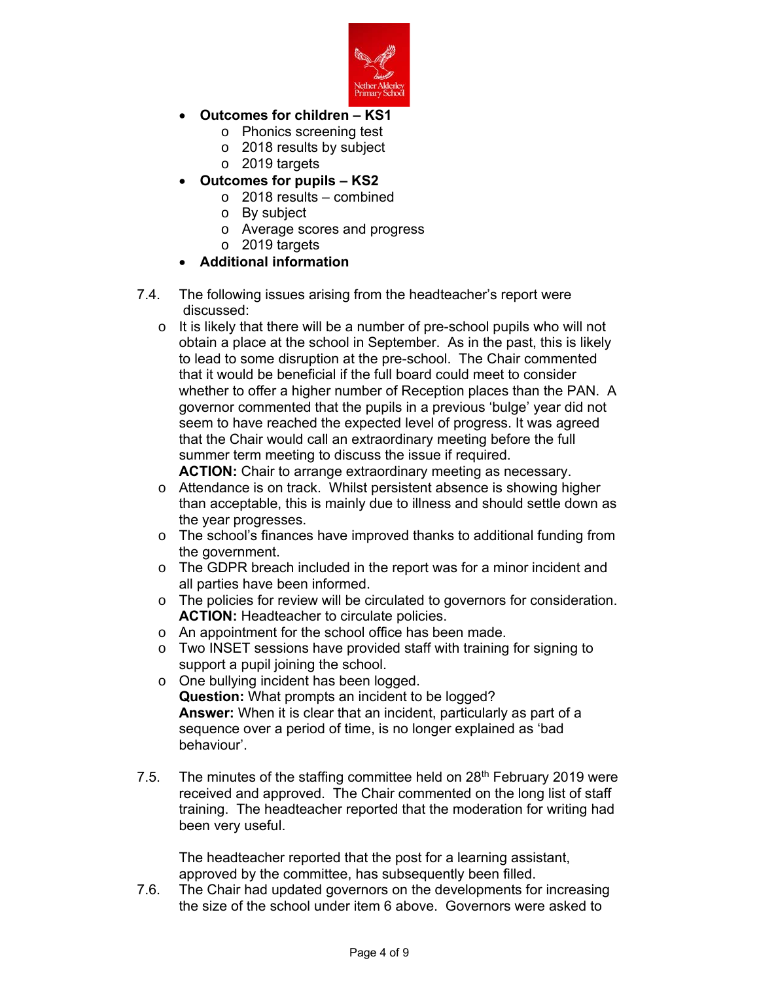

- **Outcomes for children KS1**
	- o Phonics screening test
	- o 2018 results by subject
	- o 2019 targets
- **Outcomes for pupils KS2**
	- o 2018 results combined
	- o By subject
	- o Average scores and progress
	- o 2019 targets
- **Additional information**
- 7.4. The following issues arising from the headteacher's report were discussed:
	- o It is likely that there will be a number of pre-school pupils who will not obtain a place at the school in September. As in the past, this is likely to lead to some disruption at the pre-school. The Chair commented that it would be beneficial if the full board could meet to consider whether to offer a higher number of Reception places than the PAN. A governor commented that the pupils in a previous 'bulge' year did not seem to have reached the expected level of progress. It was agreed that the Chair would call an extraordinary meeting before the full summer term meeting to discuss the issue if required.
		- **ACTION:** Chair to arrange extraordinary meeting as necessary.
	- o Attendance is on track. Whilst persistent absence is showing higher than acceptable, this is mainly due to illness and should settle down as the year progresses.
	- o The school's finances have improved thanks to additional funding from the government.
	- o The GDPR breach included in the report was for a minor incident and all parties have been informed.
	- o The policies for review will be circulated to governors for consideration. **ACTION:** Headteacher to circulate policies.
	- o An appointment for the school office has been made.
	- o Two INSET sessions have provided staff with training for signing to support a pupil joining the school.
	- o One bullying incident has been logged. **Question:** What prompts an incident to be logged? **Answer:** When it is clear that an incident, particularly as part of a sequence over a period of time, is no longer explained as 'bad behaviour'.
- 7.5. The minutes of the staffing committee held on 28<sup>th</sup> February 2019 were received and approved. The Chair commented on the long list of staff training. The headteacher reported that the moderation for writing had been very useful.

The headteacher reported that the post for a learning assistant, approved by the committee, has subsequently been filled.

7.6. The Chair had updated governors on the developments for increasing the size of the school under item 6 above. Governors were asked to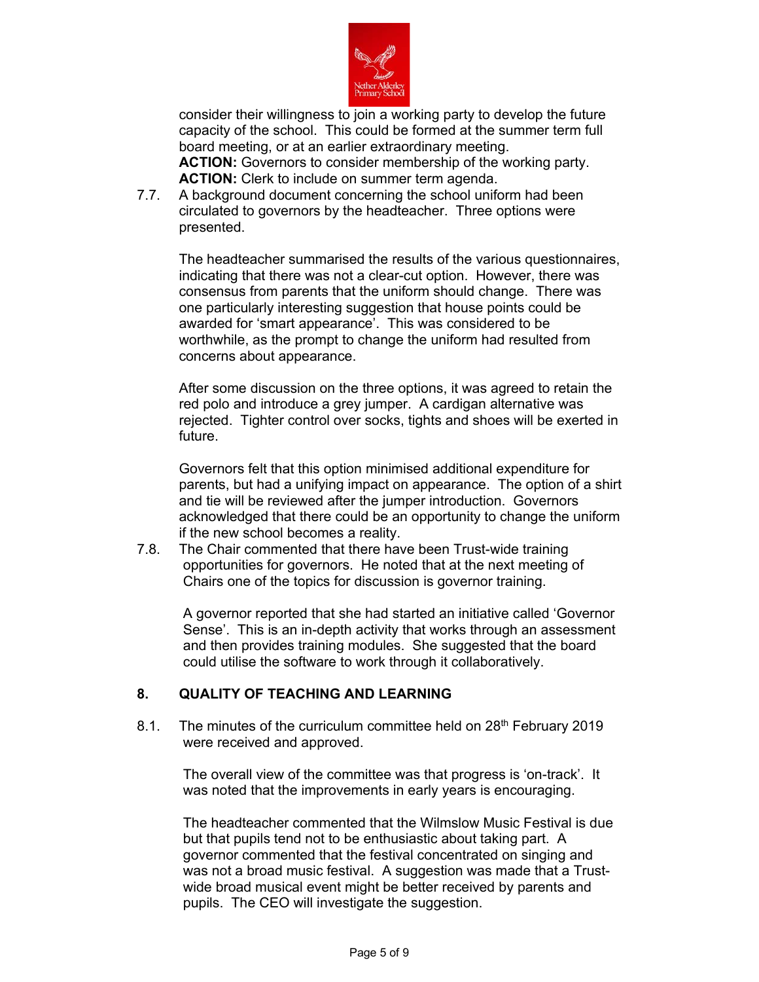

consider their willingness to join a working party to develop the future capacity of the school. This could be formed at the summer term full board meeting, or at an earlier extraordinary meeting. **ACTION:** Governors to consider membership of the working party. **ACTION:** Clerk to include on summer term agenda.

7.7. A background document concerning the school uniform had been circulated to governors by the headteacher. Three options were presented.

The headteacher summarised the results of the various questionnaires, indicating that there was not a clear-cut option. However, there was consensus from parents that the uniform should change. There was one particularly interesting suggestion that house points could be awarded for 'smart appearance'. This was considered to be worthwhile, as the prompt to change the uniform had resulted from concerns about appearance.

After some discussion on the three options, it was agreed to retain the red polo and introduce a grey jumper. A cardigan alternative was rejected. Tighter control over socks, tights and shoes will be exerted in future.

Governors felt that this option minimised additional expenditure for parents, but had a unifying impact on appearance. The option of a shirt and tie will be reviewed after the jumper introduction. Governors acknowledged that there could be an opportunity to change the uniform if the new school becomes a reality.

7.8. The Chair commented that there have been Trust-wide training opportunities for governors. He noted that at the next meeting of Chairs one of the topics for discussion is governor training.

A governor reported that she had started an initiative called 'Governor Sense'. This is an in-depth activity that works through an assessment and then provides training modules. She suggested that the board could utilise the software to work through it collaboratively.

# **8. QUALITY OF TEACHING AND LEARNING**

8.1. The minutes of the curriculum committee held on 28<sup>th</sup> February 2019 were received and approved.

The overall view of the committee was that progress is 'on-track'. It was noted that the improvements in early years is encouraging.

The headteacher commented that the Wilmslow Music Festival is due but that pupils tend not to be enthusiastic about taking part. A governor commented that the festival concentrated on singing and was not a broad music festival. A suggestion was made that a Trustwide broad musical event might be better received by parents and pupils. The CEO will investigate the suggestion.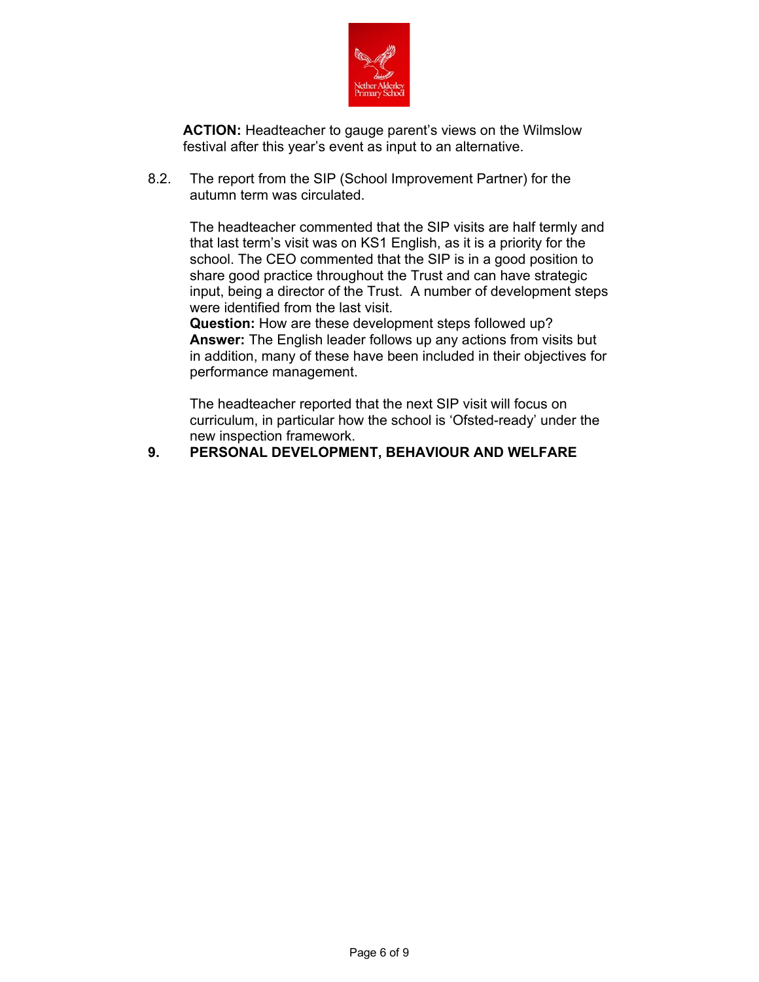

**ACTION:** Headteacher to gauge parent's views on the Wilmslow festival after this year's event as input to an alternative.

8.2. The report from the SIP (School Improvement Partner) for the autumn term was circulated.

> The headteacher commented that the SIP visits are half termly and that last term's visit was on KS1 English, as it is a priority for the school. The CEO commented that the SIP is in a good position to share good practice throughout the Trust and can have strategic input, being a director of the Trust. A number of development steps were identified from the last visit.

> **Question:** How are these development steps followed up? **Answer:** The English leader follows up any actions from visits but in addition, many of these have been included in their objectives for performance management.

The headteacher reported that the next SIP visit will focus on curriculum, in particular how the school is 'Ofsted-ready' under the new inspection framework.

# **9. PERSONAL DEVELOPMENT, BEHAVIOUR AND WELFARE**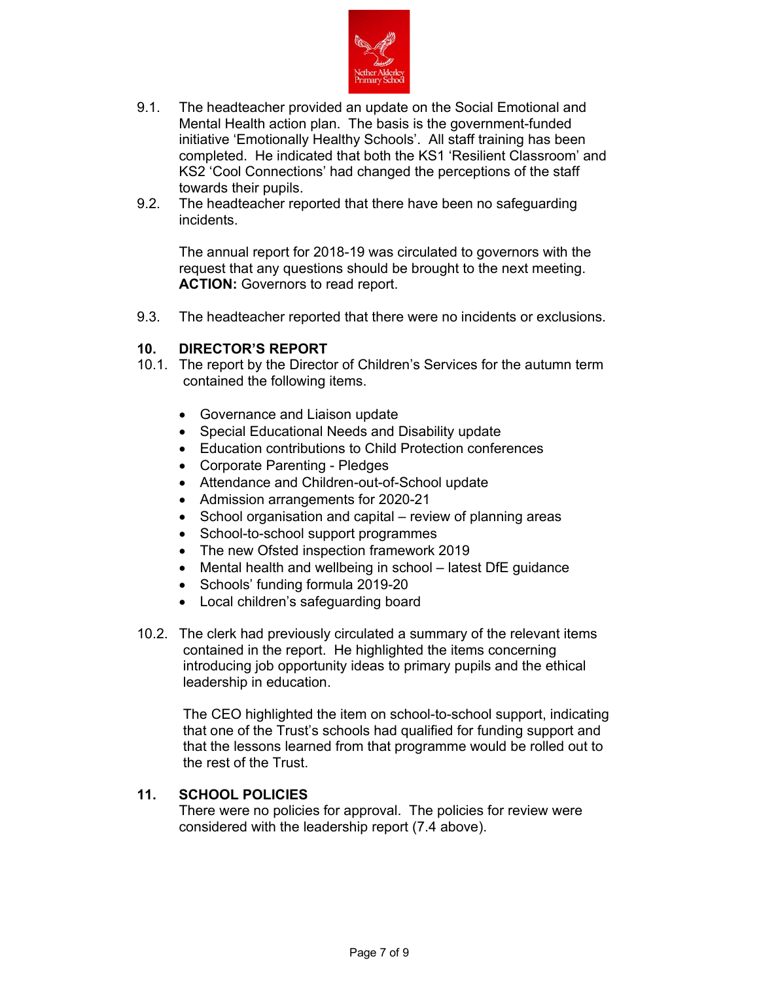

- 9.1. The headteacher provided an update on the Social Emotional and Mental Health action plan. The basis is the government-funded initiative 'Emotionally Healthy Schools'. All staff training has been completed. He indicated that both the KS1 'Resilient Classroom' and KS2 'Cool Connections' had changed the perceptions of the staff towards their pupils.
- 9.2. The headteacher reported that there have been no safeguarding incidents.

The annual report for 2018-19 was circulated to governors with the request that any questions should be brought to the next meeting. **ACTION:** Governors to read report.

9.3. The headteacher reported that there were no incidents or exclusions.

# **10. DIRECTOR'S REPORT**

- 10.1. The report by the Director of Children's Services for the autumn term contained the following items.
	- Governance and Liaison update
	- Special Educational Needs and Disability update
	- Education contributions to Child Protection conferences
	- Corporate Parenting Pledges
	- Attendance and Children-out-of-School update
	- Admission arrangements for 2020-21
	- School organisation and capital review of planning areas
	- School-to-school support programmes
	- The new Ofsted inspection framework 2019
	- Mental health and wellbeing in school latest DfE guidance
	- Schools' funding formula 2019-20
	- Local children's safeguarding board
- 10.2. The clerk had previously circulated a summary of the relevant items contained in the report. He highlighted the items concerning introducing job opportunity ideas to primary pupils and the ethical leadership in education.

The CEO highlighted the item on school-to-school support, indicating that one of the Trust's schools had qualified for funding support and that the lessons learned from that programme would be rolled out to the rest of the Trust.

# **11. SCHOOL POLICIES**

There were no policies for approval. The policies for review were considered with the leadership report (7.4 above).